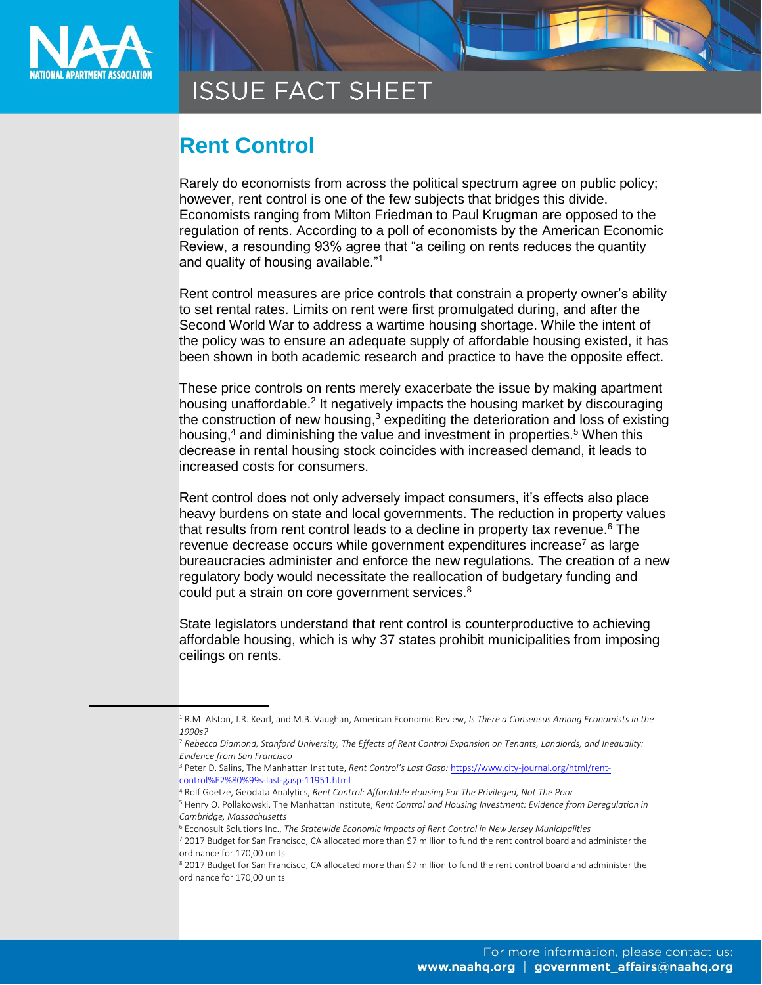

 $\overline{a}$ 

**ISSUE FACT SHEET** 

## **Rent Control**

Rarely do economists from across the political spectrum agree on public policy; however, rent control is one of the few subjects that bridges this divide. Economists ranging from Milton Friedman to Paul Krugman are opposed to the regulation of rents. According to a poll of economists by the American Economic Review, a resounding 93% agree that "a ceiling on rents reduces the quantity and quality of housing available."<sup>1</sup>

Rent control measures are price controls that constrain a property owner's ability to set rental rates. Limits on rent were first promulgated during, and after the Second World War to address a wartime housing shortage. While the intent of the policy was to ensure an adequate supply of affordable housing existed, it has been shown in both academic research and practice to have the opposite effect.

These price controls on rents merely exacerbate the issue by making apartment housing unaffordable.<sup>2</sup> It negatively impacts the housing market by discouraging the construction of new housing, $3$  expediting the deterioration and loss of existing housing, $4$  and diminishing the value and investment in properties.<sup>5</sup> When this decrease in rental housing stock coincides with increased demand, it leads to increased costs for consumers.

Rent control does not only adversely impact consumers, it's effects also place heavy burdens on state and local governments. The reduction in property values that results from rent control leads to a decline in property tax revenue.<sup>6</sup> The revenue decrease occurs while government expenditures increase<sup>7</sup> as large bureaucracies administer and enforce the new regulations. The creation of a new regulatory body would necessitate the reallocation of budgetary funding and could put a strain on core government services.<sup>8</sup>

State legislators understand that rent control is counterproductive to achieving affordable housing, which is why 37 states prohibit municipalities from imposing ceilings on rents.

<sup>1</sup> R.M. Alston, J.R. Kearl, and M.B. Vaughan, American Economic Review, *Is There a Consensus Among Economists in the 1990s?*

<sup>2</sup> *Rebecca Diamond, Stanford University, The Effects of Rent Control Expansion on Tenants, Landlords, and Inequality: Evidence from San Francisco*

<sup>3</sup> Peter D. Salins, The Manhattan Institute, *Rent Control's Last Gasp:* [https://www.city-journal.org/html/rent](https://www.city-journal.org/html/rent-control%E2%80%99s-last-gasp-11951.html)[control%E2%80%99s-last-gasp-11951.html](https://www.city-journal.org/html/rent-control%E2%80%99s-last-gasp-11951.html)

<sup>4</sup> Rolf Goetze, Geodata Analytics, *Rent Control: Affordable Housing For The Privileged, Not The Poor*

<sup>5</sup> Henry O. Pollakowski, The Manhattan Institute, *Rent Control and Housing Investment: Evidence from Deregulation in Cambridge, Massachusetts*

<sup>6</sup> Econosult Solutions Inc., *The Statewide Economic Impacts of Rent Control in New Jersey Municipalities*

<sup>7</sup> 2017 Budget for San Francisco, CA allocated more than \$7 million to fund the rent control board and administer the ordinance for 170,00 units

<sup>8 2017</sup> Budget for San Francisco, CA allocated more than \$7 million to fund the rent control board and administer the ordinance for 170,00 units